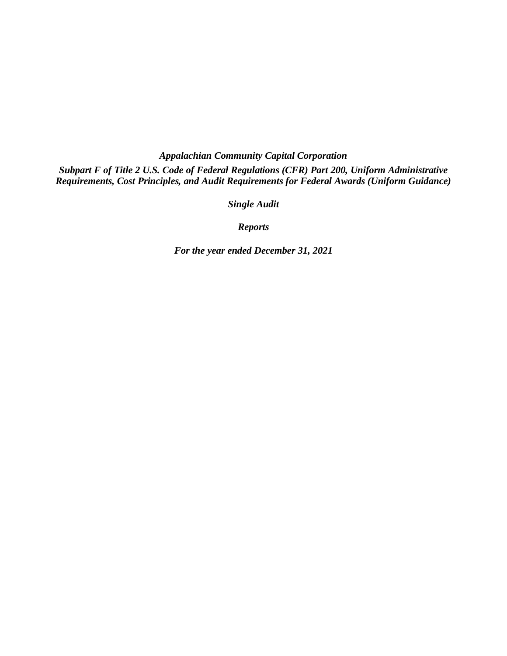## *Appalachian Community Capital Corporation*

*Subpart F of Title 2 U.S. Code of Federal Regulations (CFR) Part 200, Uniform Administrative Requirements, Cost Principles, and Audit Requirements for Federal Awards (Uniform Guidance)*

*Single Audit*

*Reports*

*For the year ended December 31, 2021*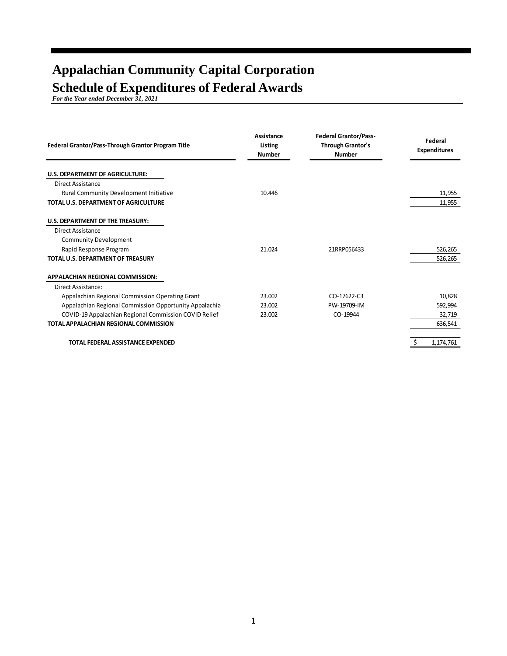# **Appalachian Community Capital Corporation Schedule of Expenditures of Federal Awards**

*For the Year ended December 31, 2021*

| Federal Grantor/Pass-Through Grantor Program Title     | Assistance<br>Listing<br><b>Number</b> | <b>Federal Grantor/Pass-</b><br>Through Grantor's<br><b>Number</b> | Federal<br><b>Expenditures</b> |
|--------------------------------------------------------|----------------------------------------|--------------------------------------------------------------------|--------------------------------|
| <b>U.S. DEPARTMENT OF AGRICULTURE:</b>                 |                                        |                                                                    |                                |
| <b>Direct Assistance</b>                               |                                        |                                                                    |                                |
| <b>Rural Community Development Initiative</b>          | 10.446                                 |                                                                    | 11,955                         |
| TOTAL U.S. DEPARTMENT OF AGRICULTURE                   |                                        |                                                                    | 11,955                         |
| U.S. DEPARTMENT OF THE TREASURY:                       |                                        |                                                                    |                                |
| <b>Direct Assistance</b>                               |                                        |                                                                    |                                |
| <b>Community Development</b>                           |                                        |                                                                    |                                |
| Rapid Response Program                                 | 21.024                                 | 21RRP056433                                                        | 526,265                        |
| TOTAL U.S. DEPARTMENT OF TREASURY                      |                                        |                                                                    | 526,265                        |
| <b>APPALACHIAN REGIONAL COMMISSION:</b>                |                                        |                                                                    |                                |
| Direct Assistance:                                     |                                        |                                                                    |                                |
| Appalachian Regional Commission Operating Grant        | 23.002                                 | CO-17622-C3                                                        | 10,828                         |
| Appalachian Regional Commission Opportunity Appalachia | 23.002                                 | PW-19709-IM                                                        | 592,994                        |
| COVID-19 Appalachian Regional Commission COVID Relief  | 23.002                                 | CO-19944                                                           | 32,719                         |
| TOTAL APPALACHIAN REGIONAL COMMISSION                  |                                        |                                                                    | 636,541                        |
|                                                        |                                        |                                                                    |                                |
| TOTAL FEDERAL ASSISTANCE EXPENDED                      |                                        |                                                                    | 1,174,761                      |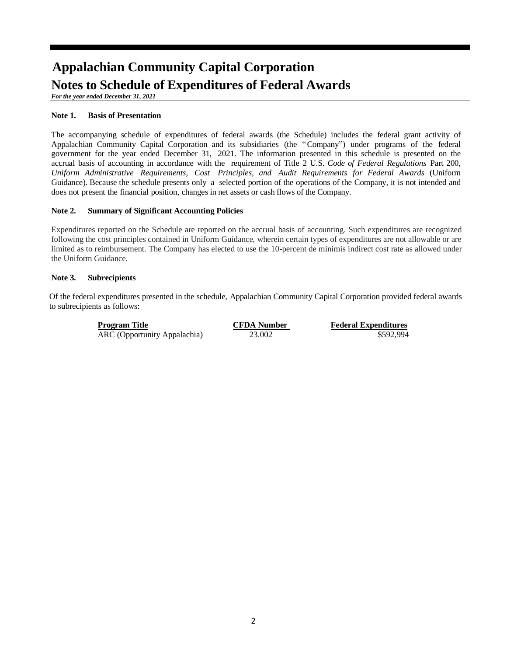# **Appalachian Community Capital Corporation Notes to Schedule of Expenditures of Federal Awards**

*For the year ended December 31, 2021*

#### **Note 1. Basis of Presentation**

The accompanying schedule of expenditures of federal awards (the Schedule) includes the federal grant activity of Appalachian Community Capital Corporation and its subsidiaries (the "Company") under programs of the federal government for the year ended December 31, 2021. The information presented in this schedule is presented on the accrual basis of accounting in accordance with the requirement of Title 2 U.S. *Code of Federal Regulations* Part 200, *Uniform Administrative Requirements, Cost Principles, and Audit Requirements for Federal Awards* (Uniform Guidance). Because the schedule presents only a selected portion of the operations of the Company, it is not intended and does not present the financial position, changes in net assets or cash flows of the Company.

#### **Note 2. Summary of Significant Accounting Policies**

Expenditures reported on the Schedule are reported on the accrual basis of accounting. Such expenditures are recognized following the cost principles contained in Uniform Guidance, wherein certain types of expenditures are not allowable or are limited as to reimbursement. The Company has elected to use the 10-percent de minimis indirect cost rate as allowed under the Uniform Guidance.

#### **Note 3. Subrecipients**

Of the federal expenditures presented in the schedule, Appalachian Community Capital Corporation provided federal awards to subrecipients as follows:

> **Program Title CFDA Number Federal Expenditures** ARC (Opportunity Appalachia) 23.002 \$592,994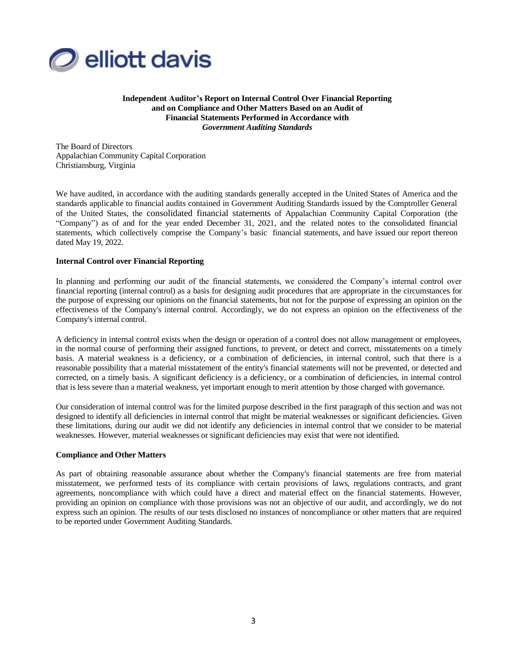

#### **Independent Auditor's Report on Internal Control Over Financial Reporting and on Compliance and Other Matters Based on an Audit of Financial Statements Performed in Accordance with** *Government Auditing Standards*

The Board of Directors Appalachian Community Capital Corporation Christiansburg, Virginia

We have audited, in accordance with the auditing standards generally accepted in the United States of America and the standards applicable to financial audits contained in Government Auditing Standards issued by the Comptroller General of the United States, the consolidated financial statements of Appalachian Community Capital Corporation (the "Company") as of and for the year ended December 31, 2021, and the related notes to the consolidated financial statements, which collectively comprise the Company's basic financial statements, and have issued our report thereon dated May 19, 2022.

#### **Internal Control over Financial Reporting**

In planning and performing our audit of the financial statements, we considered the Company's internal control over financial reporting (internal control) as a basis for designing audit procedures that are appropriate in the circumstances for the purpose of expressing our opinions on the financial statements, but not for the purpose of expressing an opinion on the effectiveness of the Company's internal control. Accordingly, we do not express an opinion on the effectiveness of the Company's internal control.

A deficiency in internal control exists when the design or operation of a control does not allow management or employees, in the normal course of performing their assigned functions, to prevent, or detect and correct, misstatements on a timely basis. A material weakness is a deficiency, or a combination of deficiencies, in internal control, such that there is a reasonable possibility that a material misstatement of the entity's financial statements will not be prevented, or detected and corrected, on a timely basis. A significant deficiency is a deficiency, or a combination of deficiencies, in internal control that is less severe than a material weakness, yet important enough to merit attention by those charged with governance.

Our consideration of internal control was for the limited purpose described in the first paragraph of this section and was not designed to identify all deficiencies in internal control that might be material weaknesses or significant deficiencies. Given these limitations, during our audit we did not identify any deficiencies in internal control that we consider to be material weaknesses. However, material weaknesses or significant deficiencies may exist that were not identified.

#### **Compliance and Other Matters**

As part of obtaining reasonable assurance about whether the Company's financial statements are free from material misstatement, we performed tests of its compliance with certain provisions of laws, regulations contracts, and grant agreements, noncompliance with which could have a direct and material effect on the financial statements. However, providing an opinion on compliance with those provisions was not an objective of our audit, and accordingly, we do not express such an opinion. The results of our tests disclosed no instances of noncompliance or other matters that are required to be reported under Government Auditing Standards.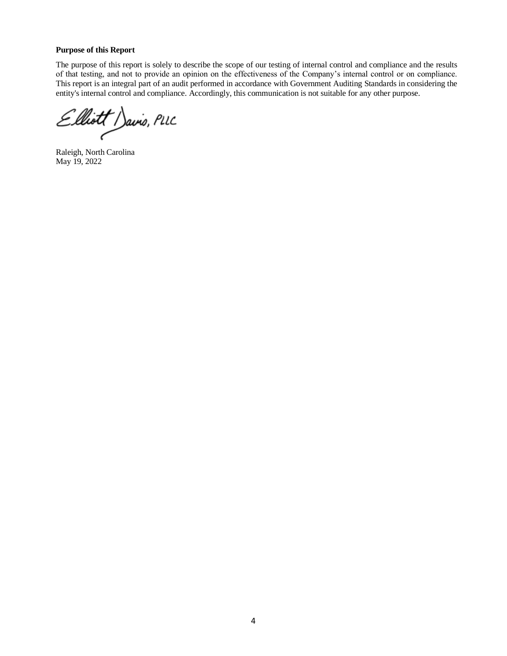#### **Purpose of this Report**

The purpose of this report is solely to describe the scope of our testing of internal control and compliance and the results of that testing, and not to provide an opinion on the effectiveness of the Company's internal control or on compliance. This report is an integral part of an audit performed in accordance with Government Auditing Standards in considering the entity's internal control and compliance. Accordingly, this communication is not suitable for any other purpose.

Elliott Davis, PLC

Raleigh, North Carolina May 19, 2022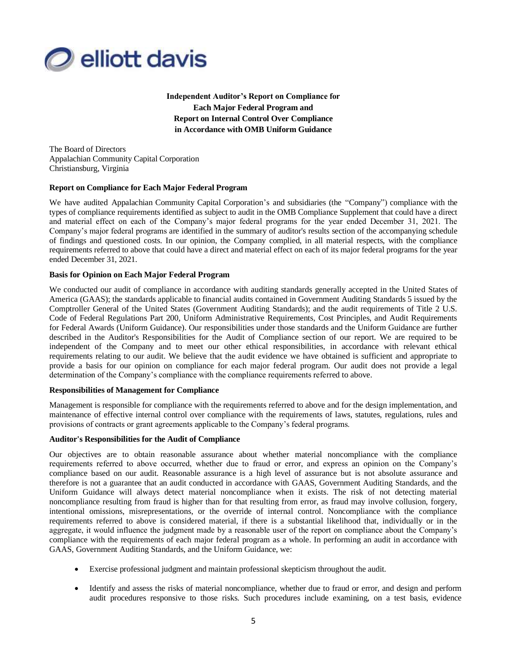

**Independent Auditor's Report on Compliance for Each Major Federal Program and Report on Internal Control Over Compliance in Accordance with OMB Uniform Guidance**

The Board of Directors Appalachian Community Capital Corporation Christiansburg, Virginia

#### **Report on Compliance for Each Major Federal Program**

We have audited Appalachian Community Capital Corporation's and subsidiaries (the "Company") compliance with the types of compliance requirements identified as subject to audit in the OMB Compliance Supplement that could have a direct and material effect on each of the Company's major federal programs for the year ended December 31, 2021. The Company's major federal programs are identified in the summary of auditor's results section of the accompanying schedule of findings and questioned costs. In our opinion, the Company complied, in all material respects, with the compliance requirements referred to above that could have a direct and material effect on each of its major federal programs for the year ended December 31, 2021.

#### **Basis for Opinion on Each Major Federal Program**

We conducted our audit of compliance in accordance with auditing standards generally accepted in the United States of America (GAAS); the standards applicable to financial audits contained in Government Auditing Standards 5 issued by the Comptroller General of the United States (Government Auditing Standards); and the audit requirements of Title 2 U.S. Code of Federal Regulations Part 200, Uniform Administrative Requirements, Cost Principles, and Audit Requirements for Federal Awards (Uniform Guidance). Our responsibilities under those standards and the Uniform Guidance are further described in the Auditor's Responsibilities for the Audit of Compliance section of our report. We are required to be independent of the Company and to meet our other ethical responsibilities, in accordance with relevant ethical requirements relating to our audit. We believe that the audit evidence we have obtained is sufficient and appropriate to provide a basis for our opinion on compliance for each major federal program. Our audit does not provide a legal determination of the Company's compliance with the compliance requirements referred to above.

#### **Responsibilities of Management for Compliance**

Management is responsible for compliance with the requirements referred to above and for the design implementation, and maintenance of effective internal control over compliance with the requirements of laws, statutes, regulations, rules and provisions of contracts or grant agreements applicable to the Company's federal programs.

#### **Auditor's Responsibilities for the Audit of Compliance**

Our objectives are to obtain reasonable assurance about whether material noncompliance with the compliance requirements referred to above occurred, whether due to fraud or error, and express an opinion on the Company's compliance based on our audit. Reasonable assurance is a high level of assurance but is not absolute assurance and therefore is not a guarantee that an audit conducted in accordance with GAAS, Government Auditing Standards, and the Uniform Guidance will always detect material noncompliance when it exists. The risk of not detecting material noncompliance resulting from fraud is higher than for that resulting from error, as fraud may involve collusion, forgery, intentional omissions, misrepresentations, or the override of internal control. Noncompliance with the compliance requirements referred to above is considered material, if there is a substantial likelihood that, individually or in the aggregate, it would influence the judgment made by a reasonable user of the report on compliance about the Company's compliance with the requirements of each major federal program as a whole. In performing an audit in accordance with GAAS, Government Auditing Standards, and the Uniform Guidance, we:

- Exercise professional judgment and maintain professional skepticism throughout the audit.
- Identify and assess the risks of material noncompliance, whether due to fraud or error, and design and perform audit procedures responsive to those risks. Such procedures include examining, on a test basis, evidence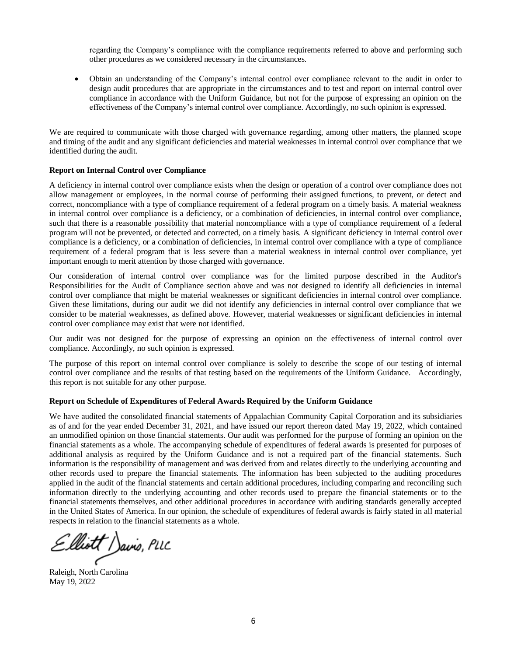regarding the Company's compliance with the compliance requirements referred to above and performing such other procedures as we considered necessary in the circumstances.

• Obtain an understanding of the Company's internal control over compliance relevant to the audit in order to design audit procedures that are appropriate in the circumstances and to test and report on internal control over compliance in accordance with the Uniform Guidance, but not for the purpose of expressing an opinion on the effectiveness of the Company's internal control over compliance. Accordingly, no such opinion is expressed.

We are required to communicate with those charged with governance regarding, among other matters, the planned scope and timing of the audit and any significant deficiencies and material weaknesses in internal control over compliance that we identified during the audit.

#### **Report on Internal Control over Compliance**

A deficiency in internal control over compliance exists when the design or operation of a control over compliance does not allow management or employees, in the normal course of performing their assigned functions, to prevent, or detect and correct, noncompliance with a type of compliance requirement of a federal program on a timely basis. A material weakness in internal control over compliance is a deficiency, or a combination of deficiencies, in internal control over compliance, such that there is a reasonable possibility that material noncompliance with a type of compliance requirement of a federal program will not be prevented, or detected and corrected, on a timely basis. A significant deficiency in internal control over compliance is a deficiency, or a combination of deficiencies, in internal control over compliance with a type of compliance requirement of a federal program that is less severe than a material weakness in internal control over compliance, yet important enough to merit attention by those charged with governance.

Our consideration of internal control over compliance was for the limited purpose described in the Auditor's Responsibilities for the Audit of Compliance section above and was not designed to identify all deficiencies in internal control over compliance that might be material weaknesses or significant deficiencies in internal control over compliance. Given these limitations, during our audit we did not identify any deficiencies in internal control over compliance that we consider to be material weaknesses, as defined above. However, material weaknesses or significant deficiencies in internal control over compliance may exist that were not identified.

Our audit was not designed for the purpose of expressing an opinion on the effectiveness of internal control over compliance. Accordingly, no such opinion is expressed.

The purpose of this report on internal control over compliance is solely to describe the scope of our testing of internal control over compliance and the results of that testing based on the requirements of the Uniform Guidance. Accordingly, this report is not suitable for any other purpose.

#### **Report on Schedule of Expenditures of Federal Awards Required by the Uniform Guidance**

We have audited the consolidated financial statements of Appalachian Community Capital Corporation and its subsidiaries as of and for the year ended December 31, 2021, and have issued our report thereon dated May 19, 2022, which contained an unmodified opinion on those financial statements. Our audit was performed for the purpose of forming an opinion on the financial statements as a whole. The accompanying schedule of expenditures of federal awards is presented for purposes of additional analysis as required by the Uniform Guidance and is not a required part of the financial statements. Such information is the responsibility of management and was derived from and relates directly to the underlying accounting and other records used to prepare the financial statements. The information has been subjected to the auditing procedures applied in the audit of the financial statements and certain additional procedures, including comparing and reconciling such information directly to the underlying accounting and other records used to prepare the financial statements or to the financial statements themselves, and other additional procedures in accordance with auditing standards generally accepted in the United States of America. In our opinion, the schedule of expenditures of federal awards is fairly stated in all material respects in relation to the financial statements as a whole.

Elliott Davis, PUC

Raleigh, North Carolina May 19, 2022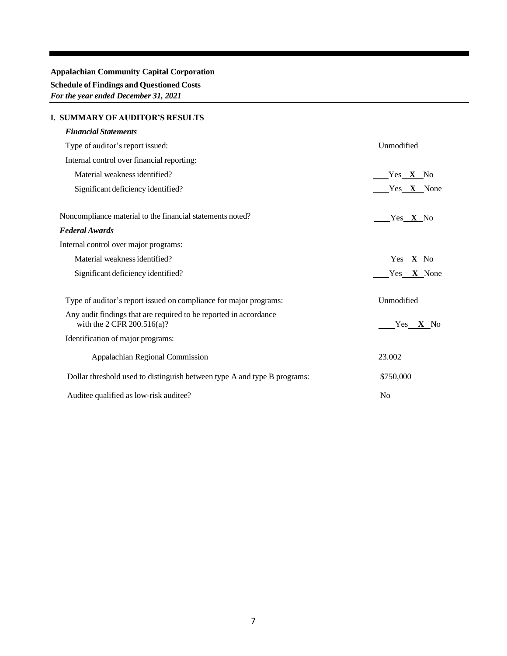## **Appalachian Community Capital Corporation Schedule of Findings and Questioned Costs** *For the year ended December 31, 2021*

## **I. SUMMARY OF AUDITOR'S RESULTS**

| <b>Financial Statements</b>                                                                          |                          |
|------------------------------------------------------------------------------------------------------|--------------------------|
| Type of auditor's report issued:                                                                     | Unmodified               |
| Internal control over financial reporting:                                                           |                          |
| Material weakness identified?                                                                        | Yes X No                 |
| Significant deficiency identified?                                                                   | $Yes \quad X \quad None$ |
| Noncompliance material to the financial statements noted?                                            | Yes X No                 |
| Federal Awards                                                                                       |                          |
| Internal control over major programs:                                                                |                          |
| Material weakness identified?                                                                        | Yes X No                 |
| Significant deficiency identified?                                                                   | Yes X None               |
| Type of auditor's report issued on compliance for major programs:                                    | Unmodified               |
| Any audit findings that are required to be reported in accordance<br>with the $2$ CFR $200.516(a)$ ? | Yes X No                 |
| Identification of major programs:                                                                    |                          |
| Appalachian Regional Commission                                                                      | 23.002                   |
| Dollar threshold used to distinguish between type A and type B programs:                             | \$750,000                |
| Auditee qualified as low-risk auditee?                                                               | N <sub>0</sub>           |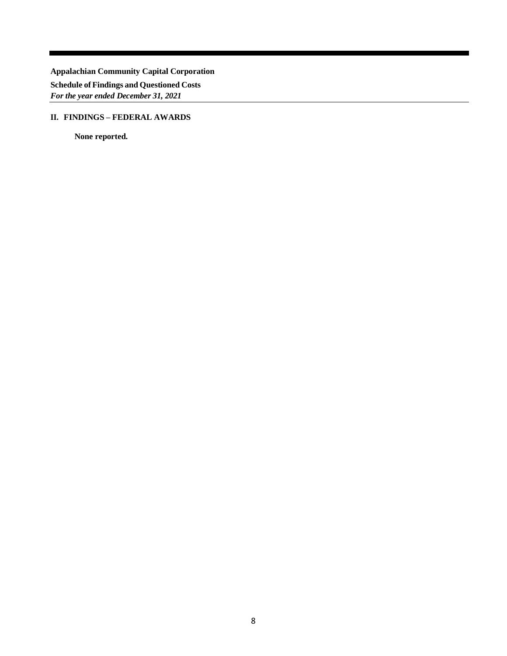**Appalachian Community Capital Corporation**

**Schedule of Findings and Questioned Costs** *For the year ended December 31, 2021*

### **II. FINDINGS – FEDERAL AWARDS**

**None reported.**